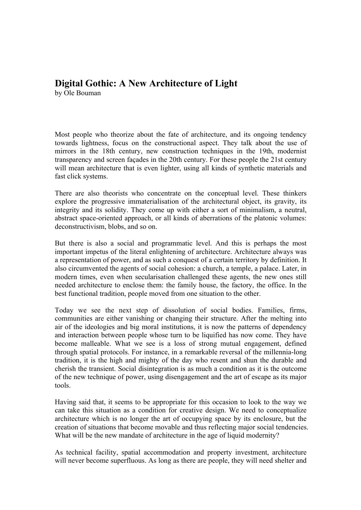# **Digital Gothic: A New Architecture of Light**

by Ole Bouman

Most people who theorize about the fate of architecture, and its ongoing tendency towards lightness, focus on the constructional aspect. They talk about the use of mirrors in the 18th century, new construction techniques in the 19th, modernist transparency and screen façades in the 20th century. For these people the 21st century will mean architecture that is even lighter, using all kinds of synthetic materials and fast click systems.

There are also theorists who concentrate on the conceptual level. These thinkers explore the progressive immaterialisation of the architectural object, its gravity, its integrity and its solidity. They come up with either a sort of minimalism, a neutral, abstract space-oriented approach, or all kinds of aberrations of the platonic volumes: deconstructivism, blobs, and so on.

But there is also a social and programmatic level. And this is perhaps the most important impetus of the literal enlightening of architecture. Architecture always was a representation of power, and as such a conquest of a certain territory by definition. It also circumvented the agents of social cohesion: a church, a temple, a palace. Later, in modern times, even when secularisation challenged these agents, the new ones still needed architecture to enclose them: the family house, the factory, the office. In the best functional tradition, people moved from one situation to the other.

Today we see the next step of dissolution of social bodies. Families, firms, communities are either vanishing or changing their structure. After the melting into air of the ideologies and big moral institutions, it is now the patterns of dependency and interaction between people whose turn to be liquified has now come. They have become malleable. What we see is a loss of strong mutual engagement, defined through spatial protocols. For instance, in a remarkable reversal of the millennia-long tradition, it is the high and mighty of the day who resent and shun the durable and cherish the transient. Social disintegration is as much a condition as it is the outcome of the new technique of power, using disengagement and the art of escape as its major tools.

Having said that, it seems to be appropriate for this occasion to look to the way we can take this situation as a condition for creative design. We need to conceptualize architecture which is no longer the art of occupying space by its enclosure, but the creation of situations that become movable and thus reflecting major social tendencies. What will be the new mandate of architecture in the age of liquid modernity?

As technical facility, spatial accommodation and property investment, architecture will never become superfluous. As long as there are people, they will need shelter and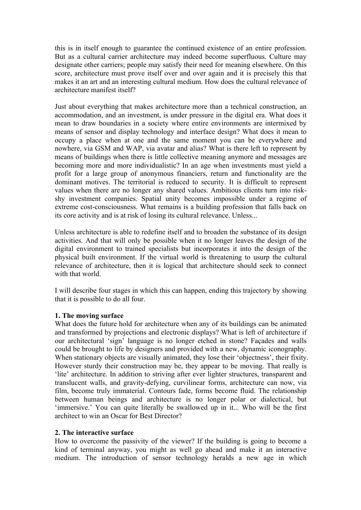this is in itself enough to guarantee the continued existence of an entire profession. But as a cultural carrier architecture may indeed become superfluous. Culture may designate other carriers; people may satisfy their need for meaning elsewhere. On this score, architecture must prove itself over and over again and it is precisely this that makes it an art and an interesting cultural medium. How does the cultural relevance of architecture manifest itself?

Just about everything that makes architecture more than a technical construction, an accommodation, and an investment, is under pressure in the digital era. What does it mean to draw boundaries in a society where entire environments are intermixed by means of sensor and display technology and interface design? What does it mean to occupy a place when at one and the same moment you can be everywhere and nowhere, via GSM and WAP, via avatar and alias? What is there left to represent by means of buildings when there is little collective meaning anymore and messages are becoming more and more individualistic? In an age when investments must yield a profit for a large group of anonymous financiers, return and functionality are the dominant motives. The territorial is reduced to security. It is difficult to represent values when there are no longer any shared values. Ambitious clients turn into riskshy investment companies. Spatial unity becomes impossible under a regime of extreme cost-consciousness. What remains is a building profession that falls back on its core activity and is at risk of losing its cultural relevance. Unless...

Unless architecture is able to redefine itself and to broaden the substance of its design activities. And that will only be possible when it no longer leaves the design of the digital environment to trained specialists but incorporates it into the design of the physical built environment. If the virtual world is threatening to usurp the cultural relevance of architecture, then it is logical that architecture should seek to connect with that world.

I will describe four stages in which this can happen, ending this trajectory by showing that it is possible to do all four.

## **1. The moving surface**

What does the future hold for architecture when any of its buildings can be animated and transformed by projections and electronic displays? What is left of architecture if our architectural 'sign' language is no longer etched in stone? Façades and walls could be brought to life by designers and provided with a new, dynamic iconography. When stationary objects are visually animated, they lose their 'objectness', their fixity. However sturdy their construction may be, they appear to be moving. That really is 'lite' architecture. In addition to striving after ever lighter structures, transparent and translucent walls, and gravity-defying, curvilinear forms, architecture can now, via film, become truly immaterial. Contours fade, forms become fluid. The relationship between human beings and architecture is no longer polar or dialectical, but 'immersive.' You can quite literally be swallowed up in it... Who will be the first architect to win an Oscar for Best Director?

## **2. The interactive surface**

How to overcome the passivity of the viewer? If the building is going to become a kind of terminal anyway, you might as well go ahead and make it an interactive medium. The introduction of sensor technology heralds a new age in which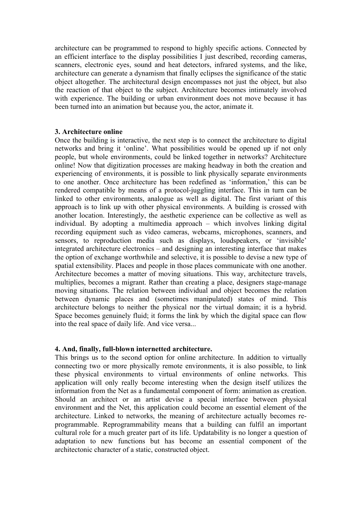architecture can be programmed to respond to highly specific actions. Connected by an efficient interface to the display possibilities I just described, recording cameras, scanners, electronic eyes, sound and heat detectors, infrared systems, and the like, architecture can generate a dynamism that finally eclipses the significance of the static object altogether. The architectural design encompasses not just the object, but also the reaction of that object to the subject. Architecture becomes intimately involved with experience. The building or urban environment does not move because it has been turned into an animation but because you, the actor, animate it.

## **3. Architecture online**

Once the building is interactive, the next step is to connect the architecture to digital networks and bring it 'online'. What possibilities would be opened up if not only people, but whole environments, could be linked together in networks? Architecture online! Now that digitization processes are making headway in both the creation and experiencing of environments, it is possible to link physically separate environments to one another. Once architecture has been redefined as 'information,' this can be rendered compatible by means of a protocol-juggling interface. This in turn can be linked to other environments, analogue as well as digital. The first variant of this approach is to link up with other physical environments. A building is crossed with another location. Interestingly, the aesthetic experience can be collective as well as individual. By adopting a multimedia approach – which involves linking digital recording equipment such as video cameras, webcams, microphones, scanners, and sensors, to reproduction media such as displays, loudspeakers, or 'invisible' integrated architecture electronics – and designing an interesting interface that makes the option of exchange worthwhile and selective, it is possible to devise a new type of spatial extensibility. Places and people in those places communicate with one another. Architecture becomes a matter of moving situations. This way, architecture travels, multiplies, becomes a migrant. Rather than creating a place, designers stage-manage moving situations. The relation between individual and object becomes the relation between dynamic places and (sometimes manipulated) states of mind. This architecture belongs to neither the physical nor the virtual domain; it is a hybrid. Space becomes genuinely fluid; it forms the link by which the digital space can flow into the real space of daily life. And vice versa...

#### **4. And, finally, full-blown internetted architecture.**

This brings us to the second option for online architecture. In addition to virtually connecting two or more physically remote environments, it is also possible, to link these physical environments to virtual environments of online networks. This application will only really become interesting when the design itself utilizes the information from the Net as a fundamental component of form: animation as creation. Should an architect or an artist devise a special interface between physical environment and the Net, this application could become an essential element of the architecture. Linked to networks, the meaning of architecture actually becomes reprogrammable. Reprogrammability means that a building can fulfil an important cultural role for a much greater part of its life. Updatability is no longer a question of adaptation to new functions but has become an essential component of the architectonic character of a static, constructed object.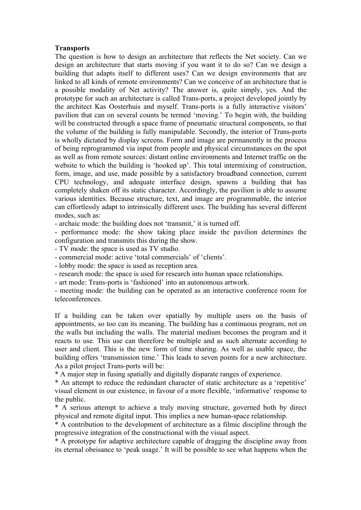#### **Transports**

The question is how to design an architecture that reflects the Net society. Can we design an architecture that starts moving if you want it to do so? Can we design a building that adapts itself to different uses? Can we design environments that are linked to all kinds of remote environments? Can we conceive of an architecture that is a possible modality of Net activity? The answer is, quite simply, yes. And the prototype for such an architecture is called Trans-ports, a project developed jointly by the architect Kas Oosterhuis and myself. Trans-ports is a fully interactive visitors' pavilion that can on several counts be termed 'moving.' To begin with, the building will be constructed through a space frame of pneumatic structural components, so that the volume of the building is fully manipulable. Secondly, the interior of Trans-ports is wholly dictated by display screens. Form and image are permanently in the process of being reprogrammed via input from people and physical circumstances on the spot as well as from remote sources: distant online environments and Internet traffic on the website to which the building is 'hooked up'. This total intermixing of construction, form, image, and use, made possible by a satisfactory broadband connection, current CPU technology, and adequate interface design, spawns a building that has completely shaken off its static character. Accordingly, the pavilion is able to assume various identities. Because structure, text, and image are programmable, the interior can effortlessly adapt to intrinsically different uses. The building has several different modes, such as:

- archaic mode: the building does not 'transmit,' it is turned off.

- performance mode: the show taking place inside the pavilion determines the configuration and transmits this during the show.

- TV mode: the space is used as TV studio.

- commercial mode: active 'total commercials' of 'clients'.

- lobby mode: the space is used as reception area.

- research mode: the space is used for research into human space relationships.

- art mode: Trans-ports is 'fashioned' into an autonomous artwork.

- meeting mode: the building can be operated as an interactive conference room for teleconferences.

If a building can be taken over spatially by multiple users on the basis of appointments, so too can its meaning. The building has a continuous program, not on the walls but including the walls. The material medium becomes the program and it reacts to use. This use can therefore be multiple and as such alternate according to user and client. This is the new form of time sharing. As well as usable space, the building offers 'transmission time.' This leads to seven points for a new architecture. As a pilot project Trans-ports will be:

\* A major step in fusing spatially and digitally disparate ranges of experience.

\* An attempt to reduce the redundant character of static architecture as a 'repetitive' visual element in our existence, in favour of a more flexible, 'informative' response to the public.

\* A serious attempt to achieve a truly moving structure, governed both by direct physical and remote digital input. This implies a new human-space relationship.

\* A contribution to the development of architecture as a filmic discipline through the progressive integration of the constructional with the visual aspect.

\* A prototype for adaptive architecture capable of dragging the discipline away from its eternal obeisance to 'peak usage.' It will be possible to see what happens when the